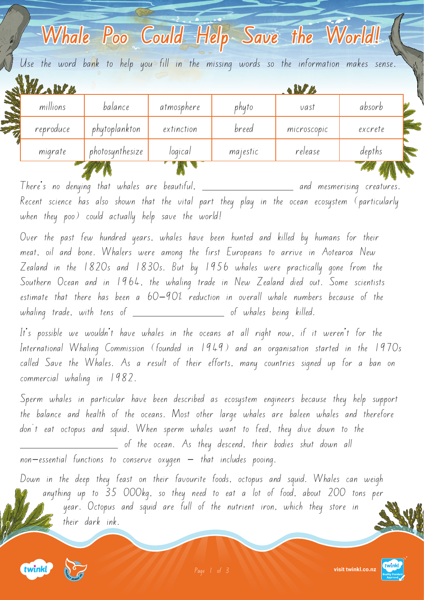|                 |            |          | <b>ALLER</b> |                                                                                                                                 |
|-----------------|------------|----------|--------------|---------------------------------------------------------------------------------------------------------------------------------|
| balance         | atmosphere | phyto    | vast         | absorb                                                                                                                          |
| phytoplankton   | extinction | breed    | microscopic  | excrete                                                                                                                         |
| photosynthesize | logical    | majestic | release      | depths                                                                                                                          |
|                 |            |          |              | Whale Poo Could Help Save the World!<br>Use the word bank to help you fill in the missing words so the information makes sense. |

There's no denying that whales are beautiful,  $\_\_$ Recent science has also shown that the vital part they play in the ocean ecosystem (particularly when they poo) could actually help save the world!

Over the past few hundred years, whales have been hunted and killed by humans for their meat, oil and bone. Whalers were among the first Europeans to arrive in Aotearoa New Zealand in the 1820s and 1830s. But by 1956 whales were practically gone from the Southern Ocean and in 1964, the whaling trade in New Zealand died out. Some scientists estimate that there has been a 60-90% reduction in overall whale numbers because of the  $w$ haling trade, with tens of  $\sqrt{a^2 + b^2}$  of whales being killed.

It's possible we wouldn't have whales in the oceans at all right now, if it weren't for the International Whaling Commission (founded in 1949) and an organisation started in the 1970s called Save the Whales. As a result of their efforts, many countries signed up for a ban on commercial whaling in 1982.

Sperm whales in particular have been described as ecosystem engineers because they help support the balance and health of the oceans. Most other large whales are baleen whales and therefore don't eat octopus and squid. When sperm whales want to feed, they dive down to the of the ocean. As they descend, their bodies shut down all  $non-essential$  functions to conserve oxygen  $-$  that includes pooing.

Down in the deep they feast on their favourite foods, octopus and squid. Whales can weigh anything up to 35 000kg, so they need to eat a lot of food, about 200 tons per year. Octopus and squid are full of the nutrient iron, which they store in their dark ink.





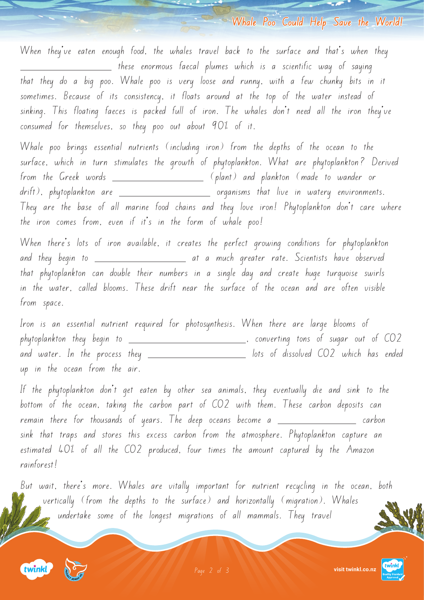**Whale Poo Could Help Save the World!**

When they've eaten enough food, the whales travel back to the surface and that's when they these enormous faecal plumes which is a scientific way of saying that they do a big poo. Whale poo is very loose and runny, with a few chunky bits in it sometimes. Because of its consistency, it floats around at the top of the water instead of sinking. This floating faeces is packed full of iron. The whales don't need all the iron they've consumed for themselves, so they poo out about 90% of it.

Whale poo brings essential nutrients (including iron) from the depths of the ocean to the surface, which in turn stimulates the growth of phytoplankton. What are phytoplankton? Derived from the Greek words (plant) and plankton (made to wander or drift), phytoplankton are organisms that live in watery environments. They are the base of all marine food chains and they love iron! Phytoplankton don't care where the iron comes from, even if it's in the form of whale poo!

When there's lots of iron available, it creates the perfect growing conditions for phytoplankton and they begin to at a much greater rate. Scientists have observed that phytoplankton can double their numbers in a single day and create huge turquoise swirls in the water, called blooms. These drift near the surface of the ocean and are often visible from space.

Iron is an essential nutrient required for photosynthesis. When there are large blooms of phytoplankton they begin to , converting tons of sugar out of CO2 and water. In the process they \_\_\_\_\_\_\_\_\_\_\_\_\_\_\_\_\_\_\_\_\_\_\_\_\_\_ lots of dissolved CO2 which has ended up in the ocean from the air.

If the phytoplankton don't get eaten by other sea animals, they eventually die and sink to the bottom of the ocean, taking the carbon part of CO2 with them. These carbon deposits can remain there for thousands of years. The deep oceans become a \_\_\_\_\_\_\_\_\_\_\_\_\_\_\_\_\_\_ carbon sink that traps and stores this excess carbon from the atmosphere. Phytoplankton capture an estimated 40% of all the CO2 produced, four times the amount captured by the Amazon rainforest!

But wait, there's more. Whales are vitally important for nutrient recycling in the ocean, both vertically (from the depths to the surface) and horizontally (migration). Whales undertake some of the longest migrations of all mammals. They travel







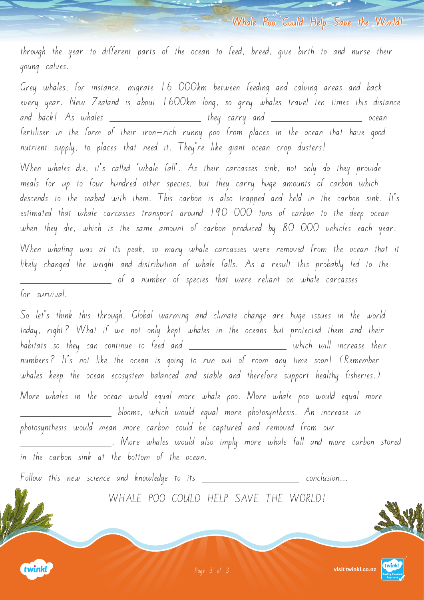**Whale Poo Could Help Save the World!**

through the year to different parts of the ocean to feed, breed, give birth to and nurse their young calves.

Grey whales, for instance, migrate 16 000km between feeding and calving areas and back every year. New Zealand is about 1600km long, so grey whales travel ten times this distance and back! As whales \_\_\_\_\_\_\_\_\_\_\_\_\_\_\_\_\_\_\_\_ they carry and \_\_\_\_\_\_\_\_\_\_\_\_\_\_\_\_\_\_\_\_\_\_\_\_ ocean fertiliser in the form of their iron-rich runny poo from places in the ocean that have good nutrient supply, to places that need it. They're like giant ocean crop dusters!

When whales die, it's called 'whale fall'. As their carcasses sink, not only do they provide meals for up to four hundred other species, but they carry huge amounts of carbon which descends to the seabed with them. This carbon is also trapped and held in the carbon sink. It's estimated that whale carcasses transport around 190 000 tons of carbon to the deep ocean when they die, which is the same amount of carbon produced by 80 000 vehicles each year.

When whaling was at its peak, so many whale carcasses were removed from the ocean that it likely changed the weight and distribution of whale falls. As a result this probably led to the of a number of species that were reliant on whale carcasses

for survival.

So let's think this through. Global warming and climate change are huge issues in the world today, right? What if we not only kept whales in the oceans but protected them and their habitats so they can continue to feed and  $\_\_$ numbers? It's not like the ocean is going to run out of room any time soon! (Remember whales keep the ocean ecosystem balanced and stable and therefore support healthy fisheries.) More whales in the ocean would equal more whale poo. More whale poo would equal more blooms, which would equal more photosynthesis. An increase in photosynthesis would mean more carbon could be captured and removed from our . More whales would also imply more whale fall and more carbon stored in the carbon sink at the bottom of the ocean.

 $F$ ollow this new science and knowledge to its  $\begin{array}{ccc} \textcolor{blue}{\textbf{\textcolor{blue}{\textbf{f}}}} & \textcolor{blue}{\textcolor{blue}{\textbf{f}}} & \textcolor{blue}{\textcolor{blue}{\textbf{f}}} & \textcolor{blue}{\textbf{f}} & \textcolor{blue}{\textbf{f}} & \textcolor{blue}{\textbf{f}} & \textcolor{blue}{\textbf{f}} & \textcolor{blue}{\textbf{f}} & \textcolor{blue}{\textbf{f}} & \textcolor{blue}{\textbf{f}} & \textcolor{blue}{\textbf{f}} & \$ 

WHALE POO COULD HELP SAVE THE WORLD!



**visit twinkl.co.nz** [Page 3 of 3](https://www.twinkl.co.nz/resources/new-zealand-resources/new-zealand-partnerships/project-jonah-partnerships-new-zealand)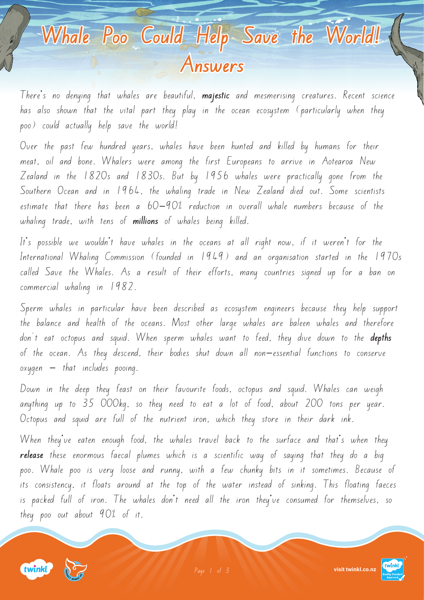## **Whale Poo Could Help Save the World! Answers**

There's no denying that whales are beautiful, **majestic** and mesmerising creatures. Recent science has also shown that the vital part they play in the ocean ecosystem (particularly when they poo) could actually help save the world!

Over the past few hundred years, whales have been hunted and killed by humans for their meat, oil and bone. Whalers were among the first Europeans to arrive in Aotearoa New Zealand in the 1820s and 1830s. But by 1956 whales were practically gone from the Southern Ocean and in 1964, the whaling trade in New Zealand died out. Some scientists estimate that there has been a 60-90% reduction in overall whale numbers because of the whaling trade, with tens of **millions** of whales being killed.

It's possible we wouldn't have whales in the oceans at all right now, if it weren't for the International Whaling Commission (founded in 1949) and an organisation started in the 1970s called Save the Whales. As a result of their efforts, many countries signed up for a ban on commercial whaling in 1982.

Sperm whales in particular have been described as ecosystem engineers because they help support the balance and health of the oceans. Most other large whales are baleen whales and therefore don't eat octopus and squid. When sperm whales want to feed, they dive down to the **depths** of the ocean. As they descend, their bodies shut down all non-essential functions to conserve  $oxygen - that includes pooling.$ 

Down in the deep they feast on their favourite foods, octopus and squid. Whales can weigh anything up to 35 000kg, so they need to eat a lot of food, about 200 tons per year. Octopus and squid are full of the nutrient iron, which they store in their dark ink.

When they've eaten enough food, the whales travel back to the surface and that's when they **release** these enormous faecal plumes which is a scientific way of saying that they do a big poo. Whale poo is very loose and runny, with a few chunky bits in it sometimes. Because of its consistency, it floats around at the top of the water instead of sinking. This floating faeces is packed full of iron. The whales don't need all the iron they've consumed for themselves, so they poo out about 90% of it.





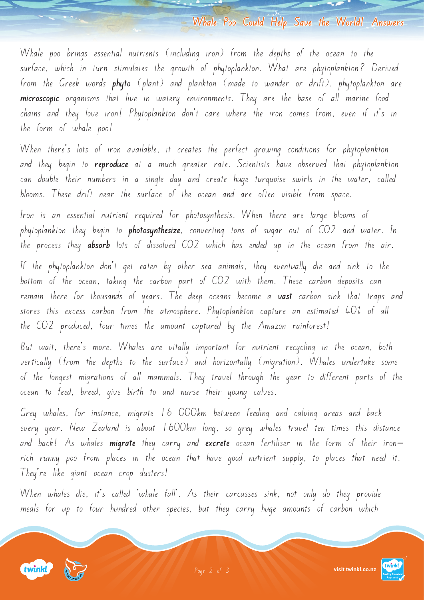**Whale Poo Could Help Save the World! Answers**

Whale poo brings essential nutrients (including iron) from the depths of the ocean to the surface, which in turn stimulates the growth of phytoplankton. What are phytoplankton? Derived from the Greek words **phyto** (plant) and plankton (made to wander or drift), phytoplankton are **microscopic** organisms that live in watery environments. They are the base of all marine food chains and they love iron! Phytoplankton don't care where the iron comes from, even if it's in the form of whale poo!

When there's lots of iron available, it creates the perfect growing conditions for phytoplankton and they begin to **reproduce** at a much greater rate. Scientists have observed that phytoplankton can double their numbers in a single day and create huge turquoise swirls in the water, called blooms. These drift near the surface of the ocean and are often visible from space.

Iron is an essential nutrient required for photosynthesis. When there are large blooms of phytoplankton they begin to **photosynthesize**, converting tons of sugar out of CO2 and water. In the process they **absorb** lots of dissolved CO2 which has ended up in the ocean from the air.

If the phytoplankton don't get eaten by other sea animals, they eventually die and sink to the bottom of the ocean, taking the carbon part of CO2 with them. These carbon deposits can remain there for thousands of years. The deep oceans become a **vast** carbon sink that traps and stores this excess carbon from the atmosphere. Phytoplankton capture an estimated 40% of all the CO2 produced, four times the amount captured by the Amazon rainforest!

But wait, there's more. Whales are vitally important for nutrient recycling in the ocean, both vertically (from the depths to the surface) and horizontally (migration). Whales undertake some of the longest migrations of all mammals. They travel through the year to different parts of the ocean to feed, breed, give birth to and nurse their young calves.

Grey whales, for instance, migrate 16 000km between feeding and calving areas and back every year. New Zealand is about 1600km long, so grey whales travel ten times this distance and back! As whales **migrate** they carry and **excrete** ocean fertiliser in the form of their ironrich runny poo from places in the ocean that have good nutrient supply, to places that need it. They're like giant ocean crop dusters!

When whales die, it's called 'whale fall'. As their carcasses sink, not only do they provide meals for up to four hundred other species, but they carry huge amounts of carbon which